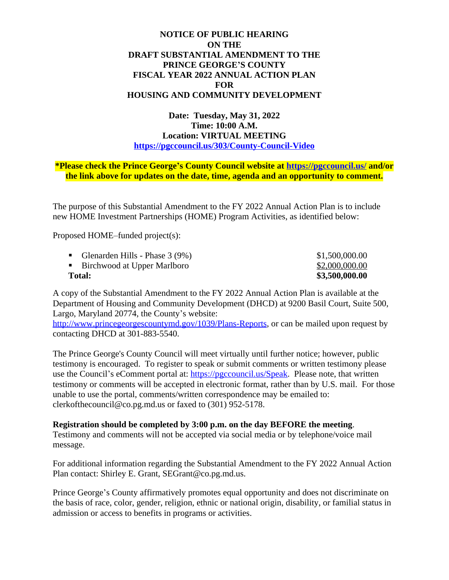## **NOTICE OF PUBLIC HEARING ON THE DRAFT SUBSTANTIAL AMENDMENT TO THE PRINCE GEORGE'S COUNTY FISCAL YEAR 2022 ANNUAL ACTION PLAN FOR HOUSING AND COMMUNITY DEVELOPMENT**

**Date: Tuesday, May 31, 2022 Time: 10:00 A.M. Location: VIRTUAL MEETING <https://pgccouncil.us/303/County-Council-Video>**

## **\*Please check the Prince George's County Council website at <https://pgccouncil.us/>and/or the link above for updates on the date, time, agenda and an opportunity to comment.**

The purpose of this Substantial Amendment to the FY 2022 Annual Action Plan is to include new HOME Investment Partnerships (HOME) Program Activities, as identified below:

Proposed HOME–funded project(s):

| <b>Total:</b> |                                    | \$3,500,000.00 |
|---------------|------------------------------------|----------------|
|               | • Birchwood at Upper Marlboro      | \$2,000,000.00 |
|               | • Glenarden Hills - Phase $3(9\%)$ | \$1,500,000.00 |

A copy of the Substantial Amendment to the FY 2022 Annual Action Plan is available at the Department of Housing and Community Development (DHCD) at 9200 Basil Court, Suite 500, Largo, Maryland 20774, the County's website:

[http://www.princegeorgescountymd.gov/1039/Plans-Reports,](http://www.princegeorgescountymd.gov/1039/Plans-Reports) or can be mailed upon request by contacting DHCD at 301-883-5540.

The Prince George's County Council will meet virtually until further notice; however, public testimony is encouraged. To register to speak or submit comments or written testimony please use the Council's eComment portal at: <https://pgccouncil.us/Speak>. Please note, that written testimony or comments will be accepted in electronic format, rather than by U.S. mail. For those unable to use the portal, comments/written correspondence may be emailed to: clerkofthecouncil@co.pg.md.us or faxed to (301) 952-5178.

## **Registration should be completed by 3:00 p.m. on the day BEFORE the meeting**.

Testimony and comments will not be accepted via social media or by telephone/voice mail message.

For additional information regarding the Substantial Amendment to the FY 2022 Annual Action Plan contact: Shirley E. Grant, SEGrant@co.pg.md.us.

Prince George's County affirmatively promotes equal opportunity and does not discriminate on the basis of race, color, gender, religion, ethnic or national origin, disability, or familial status in admission or access to benefits in programs or activities.